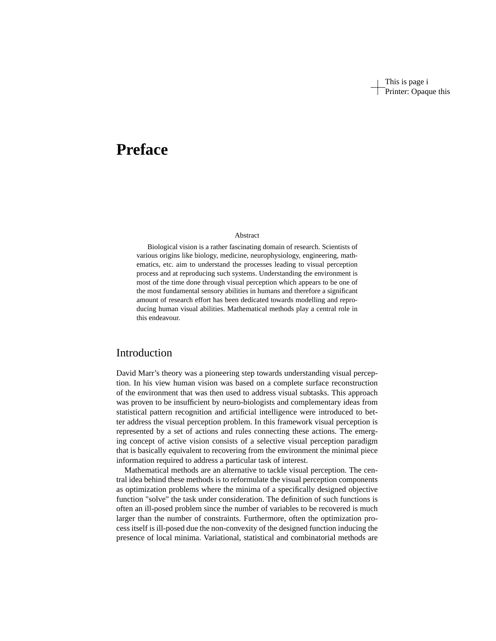This is page i Printer: Opaque this

# **Preface**

#### Abstract

Biological vision is a rather fascinating domain of research. Scientists of various origins like biology, medicine, neurophysiology, engineering, mathematics, etc. aim to understand the processes leading to visual perception process and at reproducing such systems. Understanding the environment is most of the time done through visual perception which appears to be one of the most fundamental sensory abilities in humans and therefore a significant amount of research effort has been dedicated towards modelling and reproducing human visual abilities. Mathematical methods play a central role in this endeavour.

## Introduction

David Marr's theory was a pioneering step towards understanding visual perception. In his view human vision was based on a complete surface reconstruction of the environment that was then used to address visual subtasks. This approach was proven to be insufficient by neuro-biologists and complementary ideas from statistical pattern recognition and artificial intelligence were introduced to better address the visual perception problem. In this framework visual perception is represented by a set of actions and rules connecting these actions. The emerging concept of active vision consists of a selective visual perception paradigm that is basically equivalent to recovering from the environment the minimal piece information required to address a particular task of interest.

Mathematical methods are an alternative to tackle visual perception. The central idea behind these methods is to reformulate the visual perception components as optimization problems where the minima of a specifically designed objective function "solve" the task under consideration. The definition of such functions is often an ill-posed problem since the number of variables to be recovered is much larger than the number of constraints. Furthermore, often the optimization process itself is ill-posed due the non-convexity of the designed function inducing the presence of local minima. Variational, statistical and combinatorial methods are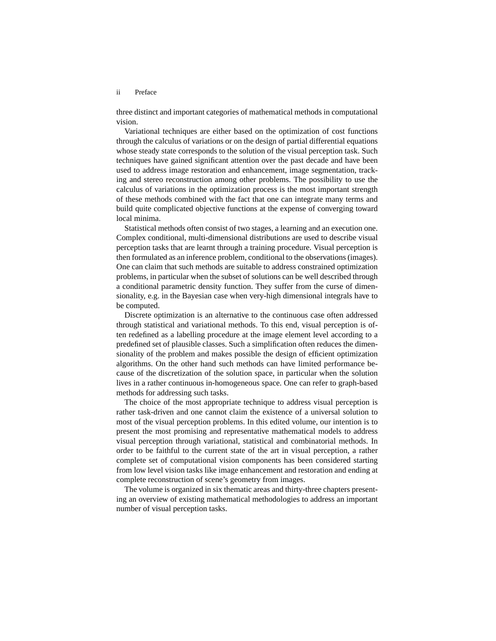### ii Preface

three distinct and important categories of mathematical methods in computational vision.

Variational techniques are either based on the optimization of cost functions through the calculus of variations or on the design of partial differential equations whose steady state corresponds to the solution of the visual perception task. Such techniques have gained significant attention over the past decade and have been used to address image restoration and enhancement, image segmentation, tracking and stereo reconstruction among other problems. The possibility to use the calculus of variations in the optimization process is the most important strength of these methods combined with the fact that one can integrate many terms and build quite complicated objective functions at the expense of converging toward local minima.

Statistical methods often consist of two stages, a learning and an execution one. Complex conditional, multi-dimensional distributions are used to describe visual perception tasks that are learnt through a training procedure. Visual perception is then formulated as an inference problem, conditional to the observations (images). One can claim that such methods are suitable to address constrained optimization problems, in particular when the subset of solutions can be well described through a conditional parametric density function. They suffer from the curse of dimensionality, e.g. in the Bayesian case when very-high dimensional integrals have to be computed.

Discrete optimization is an alternative to the continuous case often addressed through statistical and variational methods. To this end, visual perception is often redefined as a labelling procedure at the image element level according to a predefined set of plausible classes. Such a simplification often reduces the dimensionality of the problem and makes possible the design of efficient optimization algorithms. On the other hand such methods can have limited performance because of the discretization of the solution space, in particular when the solution lives in a rather continuous in-homogeneous space. One can refer to graph-based methods for addressing such tasks.

The choice of the most appropriate technique to address visual perception is rather task-driven and one cannot claim the existence of a universal solution to most of the visual perception problems. In this edited volume, our intention is to present the most promising and representative mathematical models to address visual perception through variational, statistical and combinatorial methods. In order to be faithful to the current state of the art in visual perception, a rather complete set of computational vision components has been considered starting from low level vision tasks like image enhancement and restoration and ending at complete reconstruction of scene's geometry from images.

The volume is organized in six thematic areas and thirty-three chapters presenting an overview of existing mathematical methodologies to address an important number of visual perception tasks.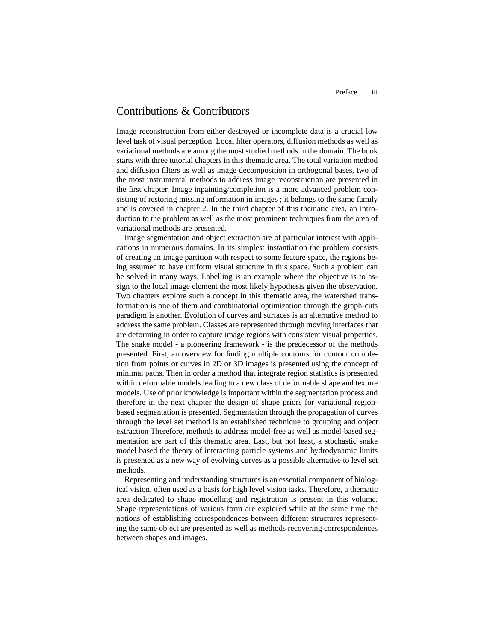## Contributions & Contributors

Image reconstruction from either destroyed or incomplete data is a crucial low level task of visual perception. Local filter operators, diffusion methods as well as variational methods are among the most studied methods in the domain. The book starts with three tutorial chapters in this thematic area. The total variation method and diffusion filters as well as image decomposition in orthogonal bases, two of the most instrumental methods to address image reconstruction are presented in the first chapter. Image inpainting/completion is a more advanced problem consisting of restoring missing information in images ; it belongs to the same family and is covered in chapter 2. In the third chapter of this thematic area, an introduction to the problem as well as the most prominent techniques from the area of variational methods are presented.

Image segmentation and object extraction are of particular interest with applications in numerous domains. In its simplest instantiation the problem consists of creating an image partition with respect to some feature space, the regions being assumed to have uniform visual structure in this space. Such a problem can be solved in many ways. Labelling is an example where the objective is to assign to the local image element the most likely hypothesis given the observation. Two chapters explore such a concept in this thematic area, the watershed transformation is one of them and combinatorial optimization through the graph-cuts paradigm is another. Evolution of curves and surfaces is an alternative method to address the same problem. Classes are represented through moving interfaces that are deforming in order to capture image regions with consistent visual properties. The snake model - a pioneering framework - is the predecessor of the methods presented. First, an overview for finding multiple contours for contour completion from points or curves in 2D or 3D images is presented using the concept of minimal paths. Then in order a method that integrate region statistics is presented within deformable models leading to a new class of deformable shape and texture models. Use of prior knowledge is important within the segmentation process and therefore in the next chapter the design of shape priors for variational regionbased segmentation is presented. Segmentation through the propagation of curves through the level set method is an established technique to grouping and object extraction Therefore, methods to address model-free as well as model-based segmentation are part of this thematic area. Last, but not least, a stochastic snake model based the theory of interacting particle systems and hydrodynamic limits is presented as a new way of evolving curves as a possible alternative to level set methods.

Representing and understanding structures is an essential component of biological vision, often used as a basis for high level vision tasks. Therefore, a thematic area dedicated to shape modelling and registration is present in this volume. Shape representations of various form are explored while at the same time the notions of establishing correspondences between different structures representing the same object are presented as well as methods recovering correspondences between shapes and images.